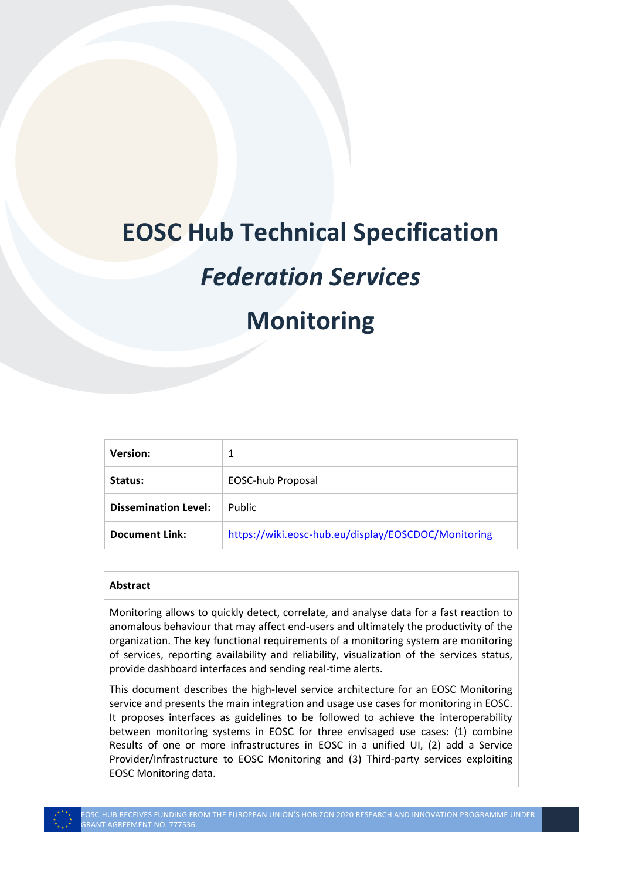# **EOSC Hub Technical Specification**

# *Federation Services*

# **Monitoring**

| <b>Version:</b>             |                                                     |
|-----------------------------|-----------------------------------------------------|
| Status:                     | EOSC-hub Proposal                                   |
| <b>Dissemination Level:</b> | Public                                              |
| Document Link:              | https://wiki.eosc-hub.eu/display/EOSCDOC/Monitoring |

#### **Abstract**

Monitoring allows to quickly detect, correlate, and analyse data for a fast reaction to anomalous behaviour that may affect end-users and ultimately the productivity of the organization. The key functional requirements of a monitoring system are monitoring of services, reporting availability and reliability, visualization of the services status, provide dashboard interfaces and sending real-time alerts.

This document describes the high-level service architecture for an EOSC Monitoring service and presents the main integration and usage use cases for monitoring in EOSC. It proposes interfaces as guidelines to be followed to achieve the interoperability between monitoring systems in EOSC for three envisaged use cases: (1) combine Results of one or more infrastructures in EOSC in a unified UI, (2) add a Service Provider/Infrastructure to EOSC Monitoring and (3) Third-party services exploiting EOSC Monitoring data.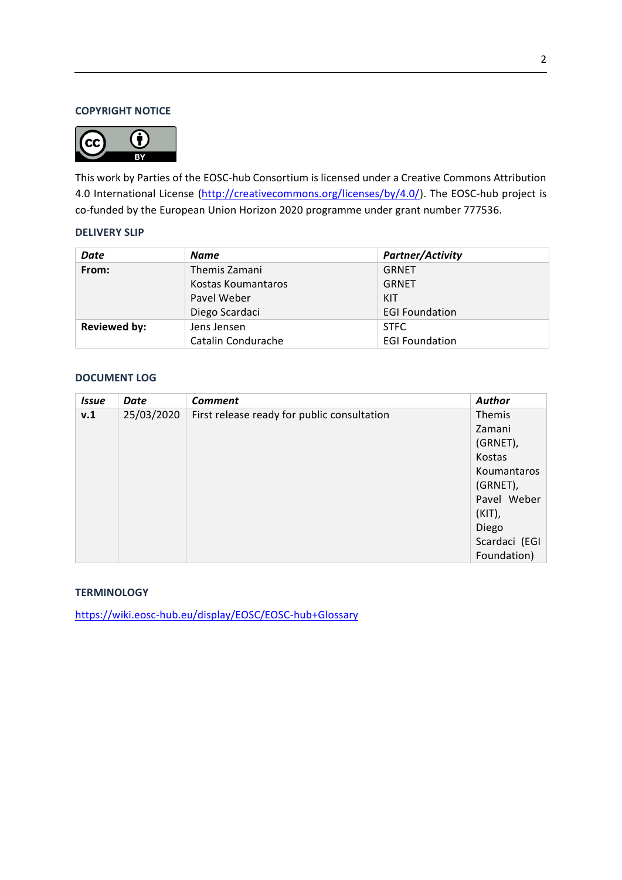## **COPYRIGHT NOTICE**



This work by Parties of the EOSC-hub Consortium is licensed under a Creative Commons Attribution 4.0 International License [\(http://creativecommons.org/licenses/by/4.0/\)](http://creativecommons.org/licenses/by/4.0/). The EOSC-hub project is co-funded by the European Union Horizon 2020 programme under grant number 777536.

#### **DELIVERY SLIP**

| Date                | <b>Name</b>        | <b>Partner/Activity</b> |
|---------------------|--------------------|-------------------------|
| From:               | Themis Zamani      | <b>GRNET</b>            |
|                     | Kostas Koumantaros | <b>GRNET</b>            |
|                     | Pavel Weber        | KIT                     |
|                     | Diego Scardaci     | <b>EGI Foundation</b>   |
| <b>Reviewed by:</b> | Jens Jensen        | <b>STFC</b>             |
|                     | Catalin Condurache | <b>EGI Foundation</b>   |

#### **DOCUMENT LOG**

| <b>Issue</b> | Date       | <b>Comment</b>                              | Author        |
|--------------|------------|---------------------------------------------|---------------|
| v.1          | 25/03/2020 | First release ready for public consultation | Themis        |
|              |            |                                             | Zamani        |
|              |            |                                             | (GRNET),      |
|              |            |                                             | Kostas        |
|              |            |                                             | Koumantaros   |
|              |            |                                             | (GRNET),      |
|              |            |                                             | Pavel Weber   |
|              |            |                                             | $(KIT)$ ,     |
|              |            |                                             | Diego         |
|              |            |                                             | Scardaci (EGI |
|              |            |                                             | Foundation)   |

## **TERMINOLOGY**

<https://wiki.eosc-hub.eu/display/EOSC/EOSC-hub+Glossary>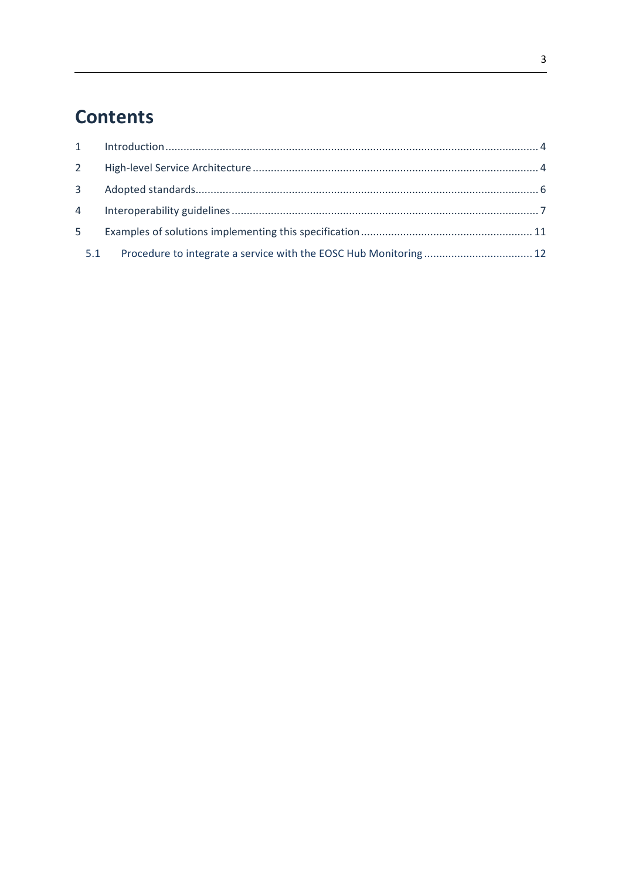# **Contents**

|   | $2^{\circ}$    |  |
|---|----------------|--|
|   | 3 <sup>7</sup> |  |
|   |                |  |
| 5 |                |  |
|   | 5.1            |  |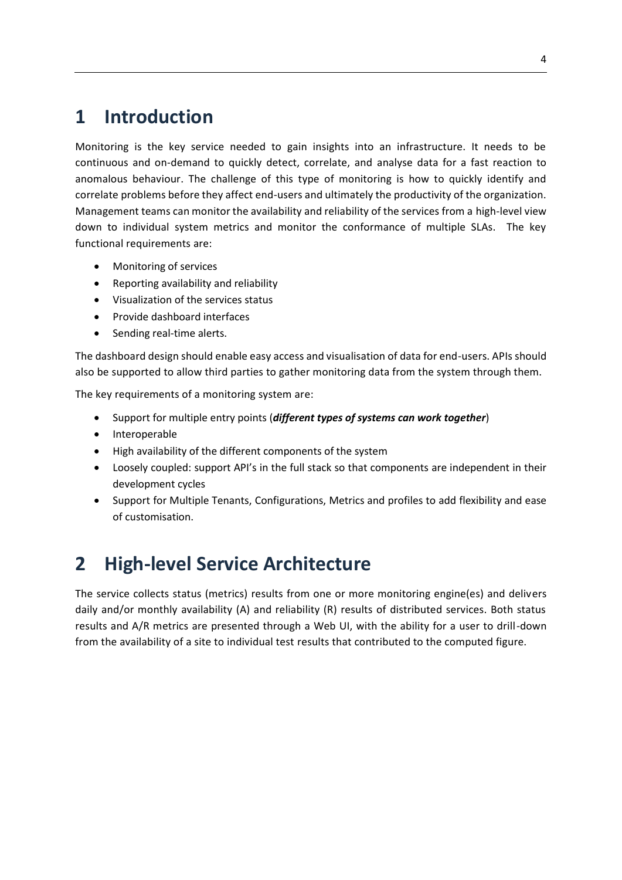## <span id="page-3-0"></span>**1 Introduction**

Monitoring is the key service needed to gain insights into an infrastructure. It needs to be continuous and on-demand to quickly detect, correlate, and analyse data for a fast reaction to anomalous behaviour. The challenge of this type of monitoring is how to quickly identify and correlate problems before they affect end-users and ultimately the productivity of the organization. Management teams can monitor the availability and reliability of the services from a high-level view down to individual system metrics and monitor the conformance of multiple SLAs. The key functional requirements are:

- Monitoring of services
- Reporting availability and reliability
- Visualization of the services status
- Provide dashboard interfaces
- Sending real-time alerts.

The dashboard design should enable easy access and visualisation of data for end-users. APIs should also be supported to allow third parties to gather monitoring data from the system through them.

The key requirements of a monitoring system are:

- Support for multiple entry points (*different types of systems can work together*)
- Interoperable
- High availability of the different components of the system
- Loosely coupled: support API's in the full stack so that components are independent in their development cycles
- Support for Multiple Tenants, Configurations, Metrics and profiles to add flexibility and ease of customisation.

## <span id="page-3-1"></span>**2 High-level Service Architecture**

The service collects status (metrics) results from one or more monitoring engine(es) and delivers daily and/or monthly availability (A) and reliability (R) results of distributed services. Both status results and A/R metrics are presented through a Web UI, with the ability for a user to drill-down from the availability of a site to individual test results that contributed to the computed figure.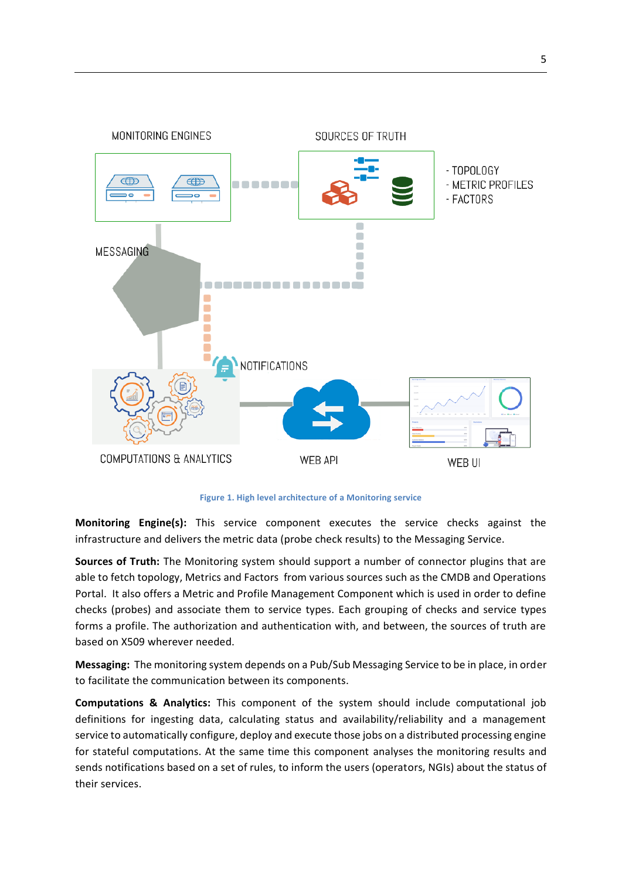

**Figure 1. High level architecture of a Monitoring service**

**Monitoring Engine(s):** This service component executes the service checks against the infrastructure and delivers the metric data (probe check results) to the Messaging Service.

**Sources of Truth:** The Monitoring system should support a number of connector plugins that are able to fetch topology, Metrics and Factors from various sources such as the CMDB and Operations Portal. It also offers a Metric and Profile Management Component which is used in order to define checks (probes) and associate them to service types. Each grouping of checks and service types forms a profile. The authorization and authentication with, and between, the sources of truth are based on X509 wherever needed.

**Messaging:** The monitoring system depends on a Pub/Sub Messaging Service to be in place, in order to facilitate the communication between its components.

**Computations & Analytics:** This component of the system should include computational job definitions for ingesting data, calculating status and availability/reliability and a management service to automatically configure, deploy and execute those jobs on a distributed processing engine for stateful computations. At the same time this component analyses the monitoring results and sends notifications based on a set of rules, to inform the users (operators, NGIs) about the status of their services.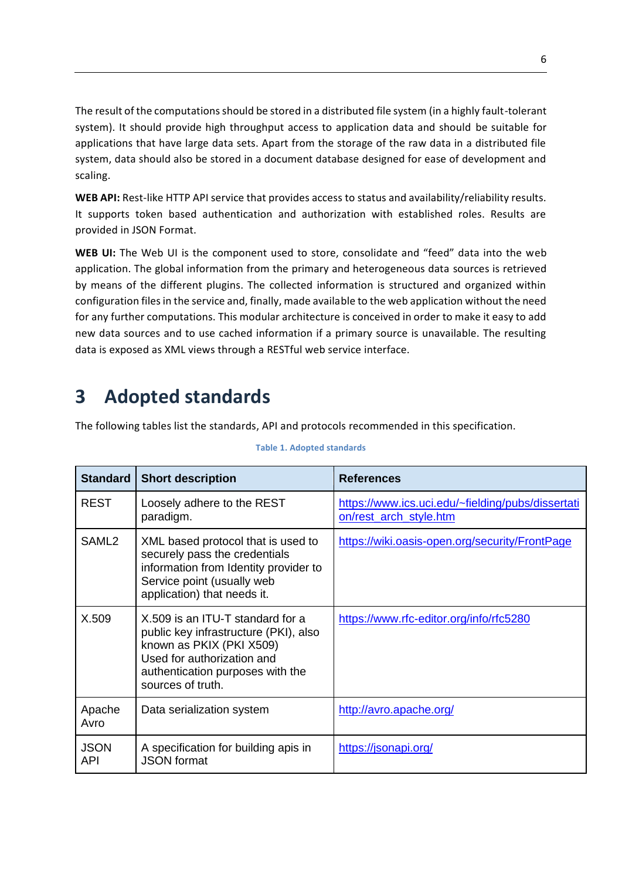The result of the computations should be stored in a distributed file system (in a highly fault-tolerant system). It should provide high throughput access to application data and should be suitable for applications that have large data sets. Apart from the storage of the raw data in a distributed file system, data should also be stored in a document database designed for ease of development and scaling.

**WEB API:** Rest-like HTTP API service that provides access to status and availability/reliability results. It supports token based authentication and authorization with established roles. Results are provided in JSON Format.

**WEB UI:** The Web UI is the component used to store, consolidate and "feed" data into the web application. The global information from the primary and heterogeneous data sources is retrieved by means of the different plugins. The collected information is structured and organized within configuration files in the service and, finally, made available to the web application without the need for any further computations. This modular architecture is conceived in order to make it easy to add new data sources and to use cached information if a primary source is unavailable. The resulting data is exposed as XML views through a RESTful web service interface.

## <span id="page-5-0"></span>**3 Adopted standards**

The following tables list the standards, API and protocols recommended in this specification.

| <b>Standard</b>    | <b>Short description</b>                                                                                                                                                                     | <b>References</b>                                                           |
|--------------------|----------------------------------------------------------------------------------------------------------------------------------------------------------------------------------------------|-----------------------------------------------------------------------------|
| <b>REST</b>        | Loosely adhere to the REST<br>paradigm.                                                                                                                                                      | https://www.ics.uci.edu/~fielding/pubs/dissertati<br>on/rest_arch_style.htm |
| SAML <sub>2</sub>  | XML based protocol that is used to<br>securely pass the credentials<br>information from Identity provider to<br>Service point (usually web<br>application) that needs it.                    | https://wiki.oasis-open.org/security/FrontPage                              |
| X.509              | X.509 is an ITU-T standard for a<br>public key infrastructure (PKI), also<br>known as PKIX (PKI X509)<br>Used for authorization and<br>authentication purposes with the<br>sources of truth. | https://www.rfc-editor.org/info/rfc5280                                     |
| Apache<br>Avro     | Data serialization system                                                                                                                                                                    | http://avro.apache.org/                                                     |
| <b>JSON</b><br>API | A specification for building apis in<br><b>JSON</b> format                                                                                                                                   | https://jsonapi.org/                                                        |

#### **Table 1. Adopted standards**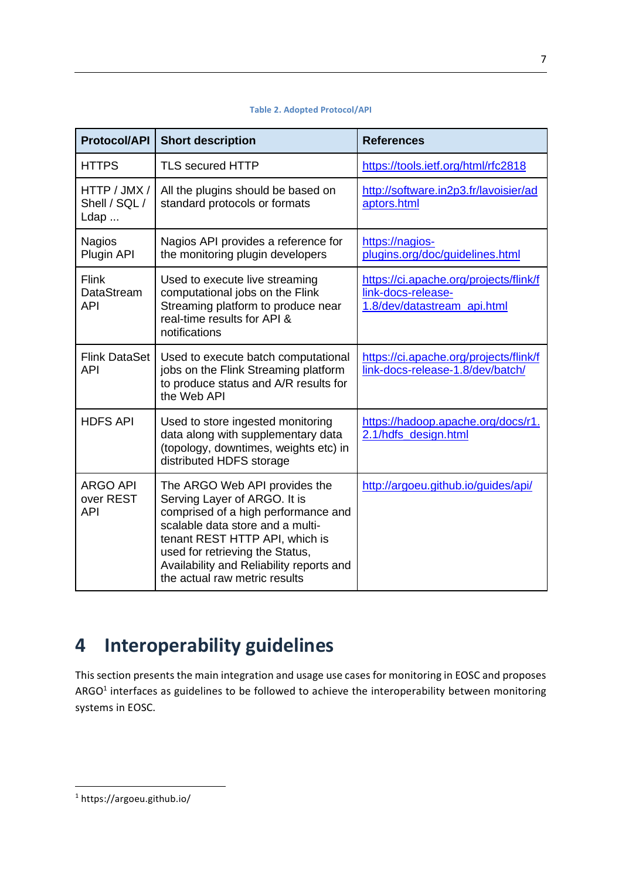| <b>Protocol/API</b>                        | <b>Short description</b>                                                                                                                                                                                                                                                                   | <b>References</b>                                                                           |
|--------------------------------------------|--------------------------------------------------------------------------------------------------------------------------------------------------------------------------------------------------------------------------------------------------------------------------------------------|---------------------------------------------------------------------------------------------|
| <b>HTTPS</b>                               | <b>TLS secured HTTP</b>                                                                                                                                                                                                                                                                    | https://tools.ietf.org/html/rfc2818                                                         |
| HTTP / JMX /<br>Shell / SQL /<br>Ldap      | All the plugins should be based on<br>standard protocols or formats                                                                                                                                                                                                                        | http://software.in2p3.fr/lavoisier/ad<br>aptors.html                                        |
| <b>Nagios</b><br>Plugin API                | Nagios API provides a reference for<br>the monitoring plugin developers                                                                                                                                                                                                                    | https://nagios-<br>plugins.org/doc/guidelines.html                                          |
| Flink<br>DataStream<br><b>API</b>          | Used to execute live streaming<br>computational jobs on the Flink<br>Streaming platform to produce near<br>real-time results for API &<br>notifications                                                                                                                                    | https://ci.apache.org/projects/flink/f<br>link-docs-release-<br>1.8/dev/datastream_api.html |
| <b>Flink DataSet</b><br><b>API</b>         | Used to execute batch computational<br>jobs on the Flink Streaming platform<br>to produce status and A/R results for<br>the Web API                                                                                                                                                        | https://ci.apache.org/projects/flink/f<br>link-docs-release-1.8/dev/batch/                  |
| <b>HDFS API</b>                            | Used to store ingested monitoring<br>data along with supplementary data<br>(topology, downtimes, weights etc) in<br>distributed HDFS storage                                                                                                                                               | https://hadoop.apache.org/docs/r1.<br>2.1/hdfs design.html                                  |
| <b>ARGO API</b><br>over REST<br><b>API</b> | The ARGO Web API provides the<br>Serving Layer of ARGO. It is<br>comprised of a high performance and<br>scalable data store and a multi-<br>tenant REST HTTP API, which is<br>used for retrieving the Status,<br>Availability and Reliability reports and<br>the actual raw metric results | http://argoeu.github.io/guides/api/                                                         |

## **Table 2. Adopted Protocol/API**

## <span id="page-6-0"></span>**4 Interoperability guidelines**

This section presents the main integration and usage use cases for monitoring in EOSC and proposes ARGO<sup>1</sup> interfaces as guidelines to be followed to achieve the interoperability between monitoring systems in EOSC.

<sup>7</sup>

<sup>1</sup> https://argoeu.github.io/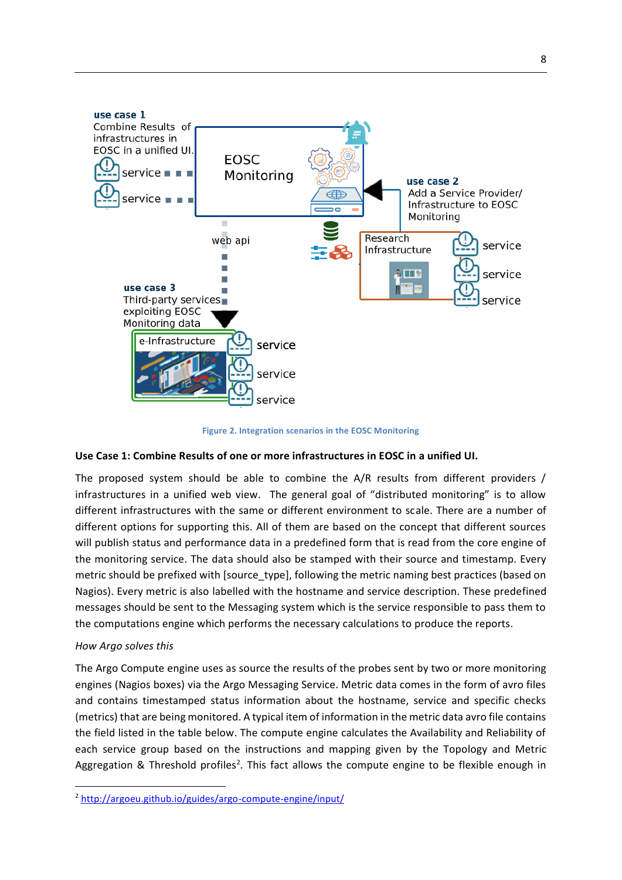

**Figure 2. Integration scenarios in the EOSC Monitoring**

### **Use Case 1: Combine Results of one or more infrastructures in EOSC in a unified UI.**

The proposed system should be able to combine the A/R results from different providers / infrastructures in a unified web view. The general goal of "distributed monitoring" is to allow different infrastructures with the same or different environment to scale. There are a number of different options for supporting this. All of them are based on the concept that different sources will publish status and performance data in a predefined form that is read from the core engine of the monitoring service. The data should also be stamped with their source and timestamp. Every metric should be prefixed with [source\_type], following the metric naming best practices (based on Nagios). Every metric is also labelled with the hostname and service description. These predefined messages should be sent to the Messaging system which is the service responsible to pass them to the computations engine which performs the necessary calculations to produce the reports.

### *How Argo solves this*

The Argo Compute engine uses as source the results of the probes sent by two or more monitoring engines (Nagios boxes) via the Argo Messaging Service. Metric data comes in the form of avro files and contains timestamped status information about the hostname, service and specific checks (metrics) that are being monitored. A typical item of information in the metric data avro file contains the field listed in the table below. The compute engine calculates the Availability and Reliability of each service group based on the instructions and mapping given by the Topology and Metric Aggregation & Threshold profiles<sup>2</sup>. This fact allows the compute engine to be flexible enough in

<sup>2</sup> <http://argoeu.github.io/guides/argo-compute-engine/input/>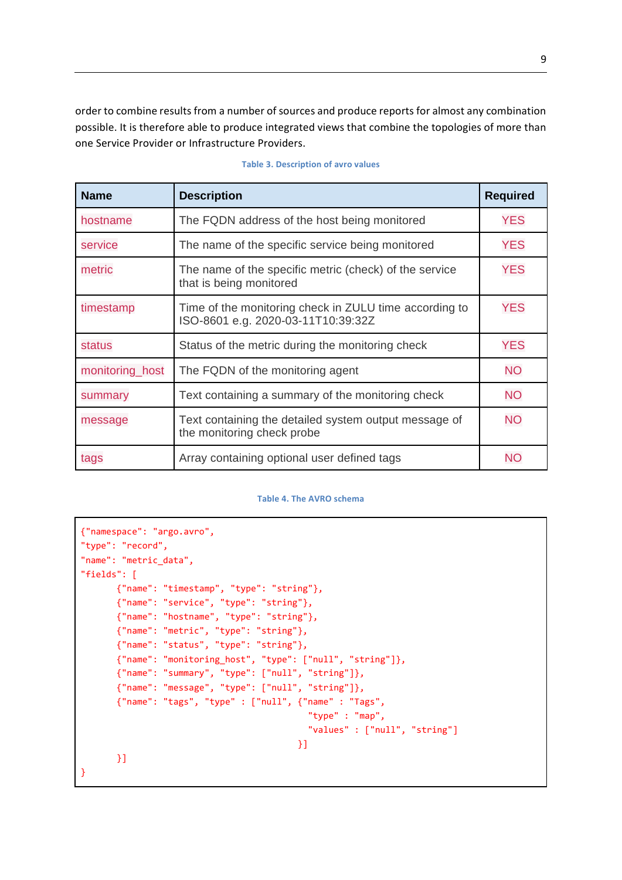order to combine results from a number of sources and produce reports for almost any combination possible. It is therefore able to produce integrated views that combine the topologies of more than one Service Provider or Infrastructure Providers.

| <b>Name</b>     | <b>Description</b>                                                                           | <b>Required</b> |
|-----------------|----------------------------------------------------------------------------------------------|-----------------|
| hostname        | The FQDN address of the host being monitored                                                 | <b>YES</b>      |
| service         | The name of the specific service being monitored                                             | <b>YES</b>      |
| metric          | The name of the specific metric (check) of the service<br>that is being monitored            | <b>YES</b>      |
| timestamp       | Time of the monitoring check in ZULU time according to<br>ISO-8601 e.g. 2020-03-11T10:39:32Z | <b>YES</b>      |
| <b>status</b>   | Status of the metric during the monitoring check                                             | <b>YES</b>      |
| monitoring_host | The FQDN of the monitoring agent                                                             | <b>NO</b>       |
| summary         | Text containing a summary of the monitoring check                                            | <b>NO</b>       |
| message         | Text containing the detailed system output message of<br>the monitoring check probe          | <b>NO</b>       |
| tags            | Array containing optional user defined tags                                                  | <b>NO</b>       |

#### **Table 3. Description of avro values**

#### **Table 4. The AVRO schema**

```
{"namespace": "argo.avro",
"type": "record",
"name": "metric_data",
"fields": [
       {"name": "timestamp", "type": "string"},
       {"name": "service", "type": "string"},
       {"name": "hostname", "type": "string"},
       {"name": "metric", "type": "string"},
       {"name": "status", "type": "string"},
       {"name": "monitoring_host", "type": ["null", "string"]},
       {"name": "summary", "type": ["null", "string"]},
       {"name": "message", "type": ["null", "string"]},
       {"name": "tags", "type" : ["null", {"name" : "Tags",
                                           "type" : "map",
                                          "values" : ["null", "string"]
\{\} }]
}
```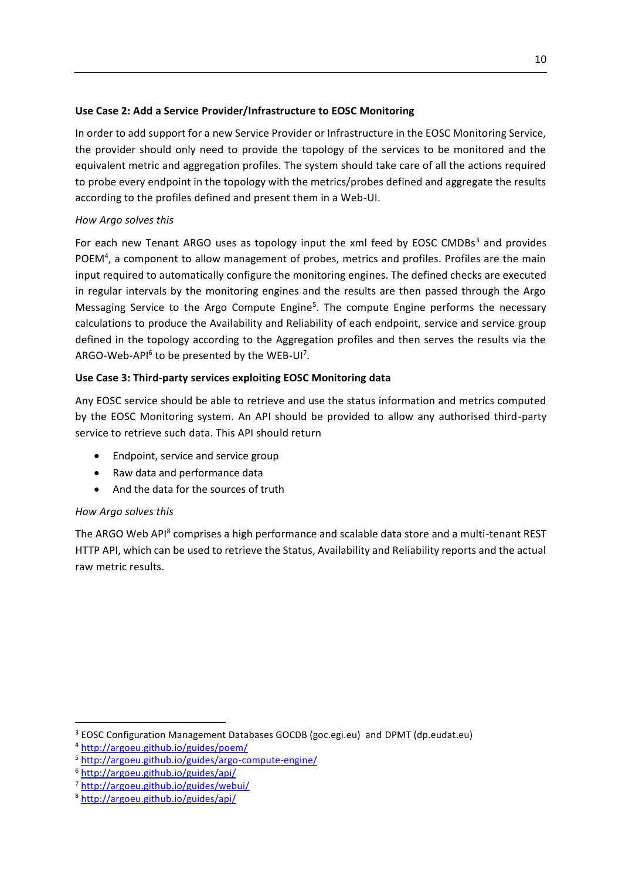## **Use Case 2: Add a Service Provider/Infrastructure to EOSC Monitoring**

In order to add support for a new Service Provider or Infrastructure in the EOSC Monitoring Service, the provider should only need to provide the topology of the services to be monitored and the equivalent metric and aggregation profiles. The system should take care of all the actions required to probe every endpoint in the topology with the metrics/probes defined and aggregate the results according to the profiles defined and present them in a Web-UI.

## *How Argo solves this*

For each new Tenant ARGO uses as topology input the xml feed by EOSC CMDBs $3$  and provides POEM<sup>4</sup>, a component to allow management of probes, metrics and profiles. Profiles are the main input required to automatically configure the monitoring engines. The defined checks are executed in regular intervals by the monitoring engines and the results are then passed through the Argo Messaging Service to the Argo Compute Engine<sup>5</sup>. The compute Engine performs the necessary calculations to produce the Availability and Reliability of each endpoint, service and service group defined in the topology according to the Aggregation profiles and then serves the results via the ARGO-Web-API $^6$  to be presented by the WEB-UI<sup>7</sup>.

## **Use Case 3: Third-party services exploiting EOSC Monitoring data**

Any EOSC service should be able to retrieve and use the status information and metrics computed by the EOSC Monitoring system. An API should be provided to allow any authorised third-party service to retrieve such data. This API should return

- Endpoint, service and service group
- Raw data and performance data
- And the data for the sources of truth

## *How Argo solves this*

The ARGO Web API<sup>8</sup> comprises a high performance and scalable data store and a multi-tenant REST HTTP API, which can be used to retrieve the Status, Availability and Reliability reports and the actual raw metric results.

<sup>3</sup> EOSC Configuration Management Databases GOCDB (goc.egi.eu) and DPMT (dp.eudat.eu)

<sup>4</sup> <http://argoeu.github.io/guides/poem/>

<sup>5</sup> <http://argoeu.github.io/guides/argo-compute-engine/>

<sup>6</sup> <http://argoeu.github.io/guides/api/>

<sup>7</sup> <http://argoeu.github.io/guides/webui/>

<sup>8</sup> <http://argoeu.github.io/guides/api/>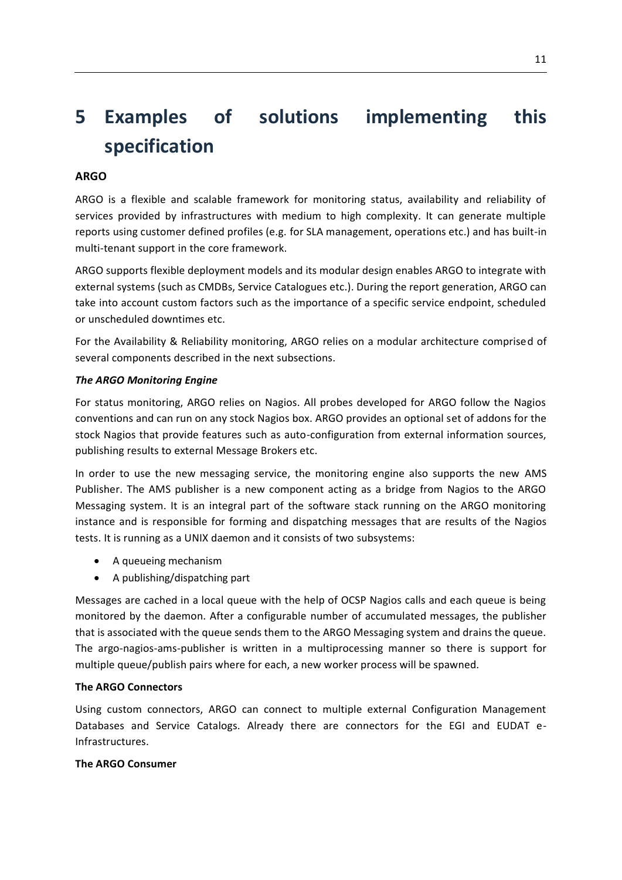# <span id="page-10-0"></span>**5 Examples of solutions implementing this specification**

## **ARGO**

ARGO is a flexible and scalable framework for monitoring status, availability and reliability of services provided by infrastructures with medium to high complexity. It can generate multiple reports using customer defined profiles (e.g. for SLA management, operations etc.) and has built-in multi-tenant support in the core framework.

ARGO supports flexible deployment models and its modular design enables ARGO to integrate with external systems (such as CMDBs, Service Catalogues etc.). During the report generation, ARGO can take into account custom factors such as the importance of a specific service endpoint, scheduled or unscheduled downtimes etc.

For the Availability & Reliability monitoring, ARGO relies on a modular architecture comprised of several components described in the next subsections.

### *The ARGO Monitoring Engine*

For status monitoring, ARGO relies on Nagios. All probes developed for ARGO follow the Nagios conventions and can run on any stock Nagios box. ARGO provides an optional set of addons for the stock Nagios that provide features such as auto-configuration from external information sources, publishing results to external Message Brokers etc.

In order to use the new messaging service, the monitoring engine also supports the new AMS Publisher. The AMS publisher is a new component acting as a bridge from Nagios to the ARGO Messaging system. It is an integral part of the software stack running on the ARGO monitoring instance and is responsible for forming and dispatching messages that are results of the Nagios tests. It is running as a UNIX daemon and it consists of two subsystems:

- A queueing mechanism
- A publishing/dispatching part

Messages are cached in a local queue with the help of OCSP Nagios calls and each queue is being monitored by the daemon. After a configurable number of accumulated messages, the publisher that is associated with the queue sends them to the ARGO Messaging system and drains the queue. The argo-nagios-ams-publisher is written in a multiprocessing manner so there is support for multiple queue/publish pairs where for each, a new worker process will be spawned.

### **The ARGO Connectors**

Using custom connectors, ARGO can connect to multiple external Configuration Management Databases and Service Catalogs. Already there are connectors for the EGI and EUDAT e-Infrastructures.

### **The ARGO Consumer**